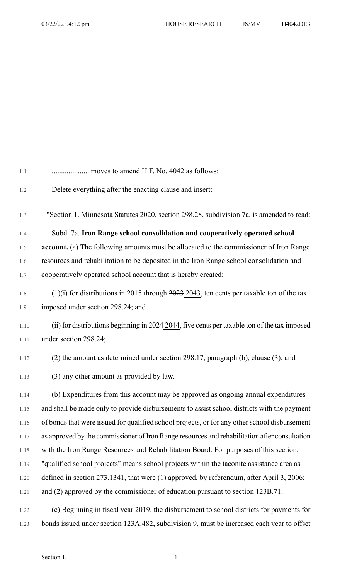| 1.1  | moves to amend H.F. No. 4042 as follows:                                                      |
|------|-----------------------------------------------------------------------------------------------|
| 1.2  | Delete everything after the enacting clause and insert:                                       |
| 1.3  | "Section 1. Minnesota Statutes 2020, section 298.28, subdivision 7a, is amended to read:      |
| 1.4  | Subd. 7a. Iron Range school consolidation and cooperatively operated school                   |
| 1.5  | account. (a) The following amounts must be allocated to the commissioner of Iron Range        |
| 1.6  | resources and rehabilitation to be deposited in the Iron Range school consolidation and       |
| 1.7  | cooperatively operated school account that is hereby created:                                 |
| 1.8  | $(1)(i)$ for distributions in 2015 through 2023 2043, ten cents per taxable ton of the tax    |
| 1.9  | imposed under section 298.24; and                                                             |
| 1.10 | (ii) for distributions beginning in 2024 2044, five cents per taxable ton of the tax imposed  |
| 1.11 | under section 298.24;                                                                         |
| 1.12 | (2) the amount as determined under section 298.17, paragraph (b), clause (3); and             |
| 1.13 | (3) any other amount as provided by law.                                                      |
| 1.14 | (b) Expenditures from this account may be approved as ongoing annual expenditures             |
| 1.15 | and shall be made only to provide disbursements to assist school districts with the payment   |
| 1.16 | of bonds that were issued for qualified school projects, or for any other school disbursement |
| 1.17 | as approved by the commissioner of Iron Range resources and rehabilitation after consultation |
| 1.18 | with the Iron Range Resources and Rehabilitation Board. For purposes of this section,         |
| 1.19 | "qualified school projects" means school projects within the taconite assistance area as      |
| 1.20 | defined in section 273.1341, that were (1) approved, by referendum, after April 3, 2006;      |
| 1.21 | and (2) approved by the commissioner of education pursuant to section 123B.71.                |
| 1.22 | (c) Beginning in fiscal year 2019, the disbursement to school districts for payments for      |
| 1.23 | bonds issued under section 123A.482, subdivision 9, must be increased each year to offset     |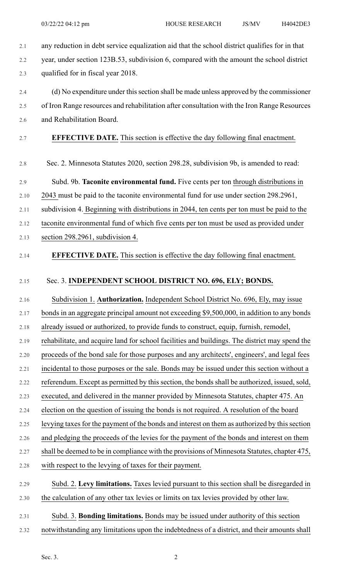- 2.1 any reduction in debt service equalization aid that the school district qualifies for in that 2.2 year, under section 123B.53, subdivision 6, compared with the amount the school district 2.3 qualified for in fiscal year 2018. 2.4 (d) No expenditure under this section shall be made unless approved by the commissioner 2.5 of Iron Range resources and rehabilitation after consultation with the Iron Range Resources 2.6 and Rehabilitation Board. 2.7 **EFFECTIVE DATE.** This section is effective the day following final enactment. 2.8 Sec. 2. Minnesota Statutes 2020, section 298.28, subdivision 9b, is amended to read: 2.9 Subd. 9b. **Taconite environmental fund.** Five cents per ton through distributions in 2.10 2043 must be paid to the taconite environmental fund for use under section 298.2961, 2.11 subdivision 4. Beginning with distributions in 2044, ten cents per ton must be paid to the 2.12 taconite environmental fund of which five cents per ton must be used as provided under 2.13 section 298.2961, subdivision 4. 2.14 **EFFECTIVE DATE.** This section is effective the day following final enactment. 2.15 Sec. 3. **INDEPENDENT SCHOOL DISTRICT NO. 696, ELY; BONDS.** 2.16 Subdivision 1. **Authorization.** Independent School District No. 696, Ely, may issue 2.17 bonds in an aggregate principal amount not exceeding \$9,500,000, in addition to any bonds 2.18 already issued or authorized, to provide funds to construct, equip, furnish, remodel, 2.19 rehabilitate, and acquire land for school facilities and buildings. The district may spend the 2.20 proceeds of the bond sale for those purposes and any architects', engineers', and legal fees 2.21 incidental to those purposes or the sale. Bonds may be issued under this section without a 2.22 referendum. Except as permitted by this section, the bonds shall be authorized, issued, sold, 2.23 executed, and delivered in the manner provided by Minnesota Statutes, chapter 475. An 2.24 election on the question of issuing the bonds is not required. A resolution of the board 2.25 levying taxes for the payment of the bonds and interest on them as authorized by this section 2.26 and pledging the proceeds of the levies for the payment of the bonds and interest on them 2.27 shall be deemed to be in compliance with the provisions of Minnesota Statutes, chapter 475, 2.28 with respect to the levying of taxes for their payment.
- 2.29 Subd. 2. **Levy limitations.** Taxes levied pursuant to this section shall be disregarded in 2.30 the calculation of any other tax levies or limits on tax levies provided by other law.
- 2.31 Subd. 3. **Bonding limitations.** Bonds may be issued under authority of this section 2.32 notwithstanding any limitations upon the indebtedness of a district, and their amounts shall
	- Sec. 3.  $2^2$ 
		-